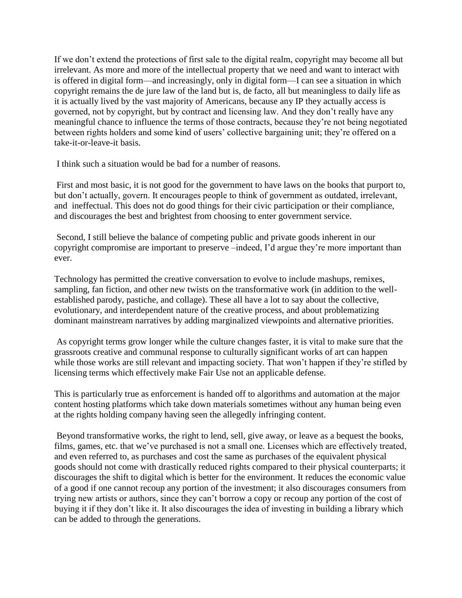If we don't extend the protections of first sale to the digital realm, copyright may become all but irrelevant. As more and more of the intellectual property that we need and want to interact with is offered in digital form—and increasingly, only in digital form—I can see a situation in which copyright remains the de jure law of the land but is, de facto, all but meaningless to daily life as it is actually lived by the vast majority of Americans, because any IP they actually access is governed, not by copyright, but by contract and licensing law. And they don't really have any meaningful chance to influence the terms of those contracts, because they're not being negotiated between rights holders and some kind of users' collective bargaining unit; they're offered on a take-it-or-leave-it basis.

I think such a situation would be bad for a number of reasons.

First and most basic, it is not good for the government to have laws on the books that purport to, but don't actually, govern. It encourages people to think of government as outdated, irrelevant, and ineffectual. This does not do good things for their civic participation or their compliance, and discourages the best and brightest from choosing to enter government service.

Second, I still believe the balance of competing public and private goods inherent in our copyright compromise are important to preserve –indeed, I'd argue they're more important than ever.

Technology has permitted the creative conversation to evolve to include mashups, remixes, sampling, fan fiction, and other new twists on the transformative work (in addition to the wellestablished parody, pastiche, and collage). These all have a lot to say about the collective, evolutionary, and interdependent nature of the creative process, and about problematizing dominant mainstream narratives by adding marginalized viewpoints and alternative priorities.

As copyright terms grow longer while the culture changes faster, it is vital to make sure that the grassroots creative and communal response to culturally significant works of art can happen while those works are still relevant and impacting society. That won't happen if they're stifled by licensing terms which effectively make Fair Use not an applicable defense.

This is particularly true as enforcement is handed off to algorithms and automation at the major content hosting platforms which take down materials sometimes without any human being even at the rights holding company having seen the allegedly infringing content.

Beyond transformative works, the right to lend, sell, give away, or leave as a bequest the books, films, games, etc. that we've purchased is not a small one. Licenses which are effectively treated, and even referred to, as purchases and cost the same as purchases of the equivalent physical goods should not come with drastically reduced rights compared to their physical counterparts; it discourages the shift to digital which is better for the environment. It reduces the economic value of a good if one cannot recoup any portion of the investment; it also discourages consumers from trying new artists or authors, since they can't borrow a copy or recoup any portion of the cost of buying it if they don't like it. It also discourages the idea of investing in building a library which can be added to through the generations.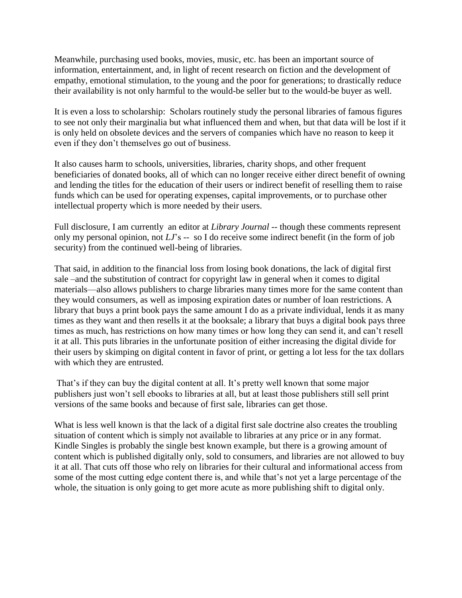Meanwhile, purchasing used books, movies, music, etc. has been an important source of information, entertainment, and, in light of recent research on fiction and the development of empathy, emotional stimulation, to the young and the poor for generations; to drastically reduce their availability is not only harmful to the would-be seller but to the would-be buyer as well.

It is even a loss to scholarship: Scholars routinely study the personal libraries of famous figures to see not only their marginalia but what influenced them and when, but that data will be lost if it is only held on obsolete devices and the servers of companies which have no reason to keep it even if they don't themselves go out of business.

It also causes harm to schools, universities, libraries, charity shops, and other frequent beneficiaries of donated books, all of which can no longer receive either direct benefit of owning and lending the titles for the education of their users or indirect benefit of reselling them to raise funds which can be used for operating expenses, capital improvements, or to purchase other intellectual property which is more needed by their users.

Full disclosure, I am currently an editor at *Library Journal* -- though these comments represent only my personal opinion, not *LJ*'s -- so I do receive some indirect benefit (in the form of job security) from the continued well-being of libraries.

That said, in addition to the financial loss from losing book donations, the lack of digital first sale –and the substitution of contract for copyright law in general when it comes to digital materials—also allows publishers to charge libraries many times more for the same content than they would consumers, as well as imposing expiration dates or number of loan restrictions. A library that buys a print book pays the same amount I do as a private individual, lends it as many times as they want and then resells it at the booksale; a library that buys a digital book pays three times as much, has restrictions on how many times or how long they can send it, and can't resell it at all. This puts libraries in the unfortunate position of either increasing the digital divide for their users by skimping on digital content in favor of print, or getting a lot less for the tax dollars with which they are entrusted.

That's if they can buy the digital content at all. It's pretty well known that some major publishers just won't sell ebooks to libraries at all, but at least those publishers still sell print versions of the same books and because of first sale, libraries can get those.

What is less well known is that the lack of a digital first sale doctrine also creates the troubling situation of content which is simply not available to libraries at any price or in any format. Kindle Singles is probably the single best known example, but there is a growing amount of content which is published digitally only, sold to consumers, and libraries are not allowed to buy it at all. That cuts off those who rely on libraries for their cultural and informational access from some of the most cutting edge content there is, and while that's not yet a large percentage of the whole, the situation is only going to get more acute as more publishing shift to digital only.